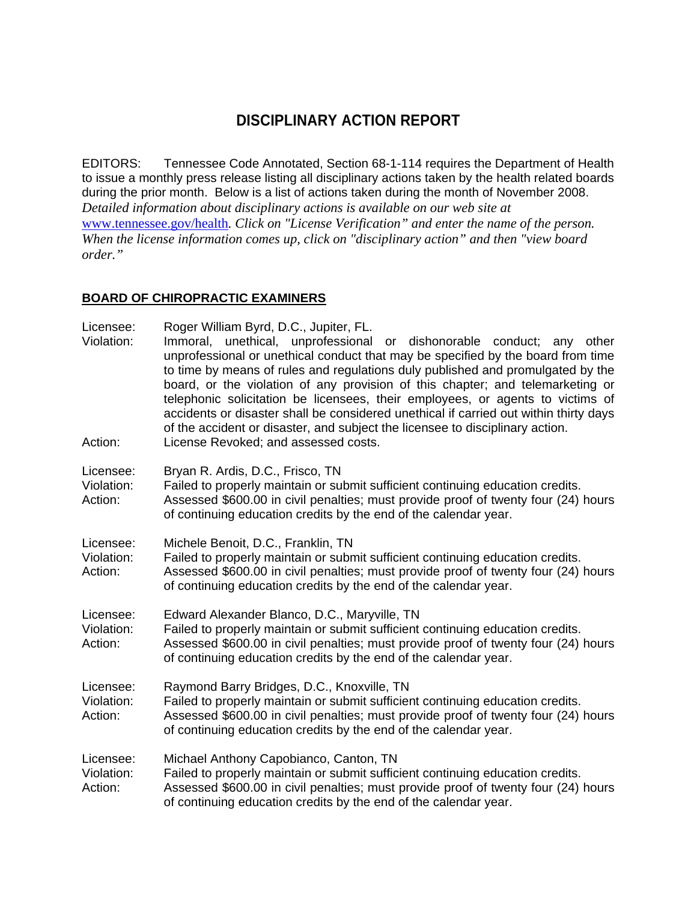# **DISCIPLINARY ACTION REPORT**

EDITORS: Tennessee Code Annotated, Section 68-1-114 requires the Department of Health to issue a monthly press release listing all disciplinary actions taken by the health related boards during the prior month. Below is a list of actions taken during the month of November 2008. *Detailed information about disciplinary actions is available on our web site at*  www.tennessee.gov/health*. Click on "License Verification" and enter the name of the person. When the license information comes up, click on "disciplinary action" and then "view board order."* 

#### **BOARD OF CHIROPRACTIC EXAMINERS**

| Licensee:<br>Violation:<br>Action: | Roger William Byrd, D.C., Jupiter, FL.<br>Immoral, unethical, unprofessional or dishonorable conduct; any other<br>unprofessional or unethical conduct that may be specified by the board from time<br>to time by means of rules and regulations duly published and promulgated by the<br>board, or the violation of any provision of this chapter; and telemarketing or<br>telephonic solicitation be licensees, their employees, or agents to victims of<br>accidents or disaster shall be considered unethical if carried out within thirty days<br>of the accident or disaster, and subject the licensee to disciplinary action.<br>License Revoked; and assessed costs. |
|------------------------------------|------------------------------------------------------------------------------------------------------------------------------------------------------------------------------------------------------------------------------------------------------------------------------------------------------------------------------------------------------------------------------------------------------------------------------------------------------------------------------------------------------------------------------------------------------------------------------------------------------------------------------------------------------------------------------|
| Licensee:<br>Violation:<br>Action: | Bryan R. Ardis, D.C., Frisco, TN<br>Failed to properly maintain or submit sufficient continuing education credits.<br>Assessed \$600.00 in civil penalties; must provide proof of twenty four (24) hours<br>of continuing education credits by the end of the calendar year.                                                                                                                                                                                                                                                                                                                                                                                                 |
| Licensee:<br>Violation:<br>Action: | Michele Benoit, D.C., Franklin, TN<br>Failed to properly maintain or submit sufficient continuing education credits.<br>Assessed \$600.00 in civil penalties; must provide proof of twenty four (24) hours<br>of continuing education credits by the end of the calendar year.                                                                                                                                                                                                                                                                                                                                                                                               |
| Licensee:<br>Violation:<br>Action: | Edward Alexander Blanco, D.C., Maryville, TN<br>Failed to properly maintain or submit sufficient continuing education credits.<br>Assessed \$600.00 in civil penalties; must provide proof of twenty four (24) hours<br>of continuing education credits by the end of the calendar year.                                                                                                                                                                                                                                                                                                                                                                                     |
| Licensee:<br>Violation:<br>Action: | Raymond Barry Bridges, D.C., Knoxville, TN<br>Failed to properly maintain or submit sufficient continuing education credits.<br>Assessed \$600.00 in civil penalties; must provide proof of twenty four (24) hours<br>of continuing education credits by the end of the calendar year.                                                                                                                                                                                                                                                                                                                                                                                       |
| Licensee:<br>Violation:<br>Action: | Michael Anthony Capobianco, Canton, TN<br>Failed to properly maintain or submit sufficient continuing education credits.<br>Assessed \$600.00 in civil penalties; must provide proof of twenty four (24) hours<br>of continuing education credits by the end of the calendar year.                                                                                                                                                                                                                                                                                                                                                                                           |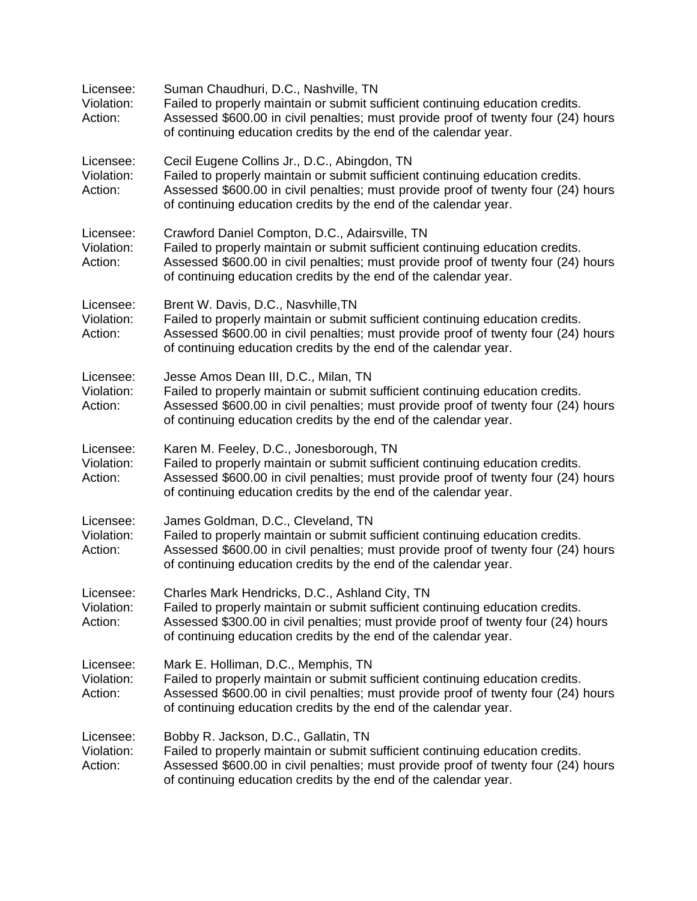| Licensee:<br>Violation:<br>Action: | Suman Chaudhuri, D.C., Nashville, TN<br>Failed to properly maintain or submit sufficient continuing education credits.<br>Assessed \$600.00 in civil penalties; must provide proof of twenty four (24) hours<br>of continuing education credits by the end of the calendar year.           |
|------------------------------------|--------------------------------------------------------------------------------------------------------------------------------------------------------------------------------------------------------------------------------------------------------------------------------------------|
| Licensee:<br>Violation:<br>Action: | Cecil Eugene Collins Jr., D.C., Abingdon, TN<br>Failed to properly maintain or submit sufficient continuing education credits.<br>Assessed \$600.00 in civil penalties; must provide proof of twenty four (24) hours<br>of continuing education credits by the end of the calendar year.   |
| Licensee:<br>Violation:<br>Action: | Crawford Daniel Compton, D.C., Adairsville, TN<br>Failed to properly maintain or submit sufficient continuing education credits.<br>Assessed \$600.00 in civil penalties; must provide proof of twenty four (24) hours<br>of continuing education credits by the end of the calendar year. |
| Licensee:<br>Violation:<br>Action: | Brent W. Davis, D.C., Nasvhille, TN<br>Failed to properly maintain or submit sufficient continuing education credits.<br>Assessed \$600.00 in civil penalties; must provide proof of twenty four (24) hours<br>of continuing education credits by the end of the calendar year.            |
| Licensee:<br>Violation:<br>Action: | Jesse Amos Dean III, D.C., Milan, TN<br>Failed to properly maintain or submit sufficient continuing education credits.<br>Assessed \$600.00 in civil penalties; must provide proof of twenty four (24) hours<br>of continuing education credits by the end of the calendar year.           |
| Licensee:<br>Violation:<br>Action: | Karen M. Feeley, D.C., Jonesborough, TN<br>Failed to properly maintain or submit sufficient continuing education credits.<br>Assessed \$600.00 in civil penalties; must provide proof of twenty four (24) hours<br>of continuing education credits by the end of the calendar year.        |
| Licensee:<br>Violation:<br>Action: | James Goldman, D.C., Cleveland, TN<br>Failed to properly maintain or submit sufficient continuing education credits.<br>Assessed \$600.00 in civil penalties; must provide proof of twenty four (24) hours<br>of continuing education credits by the end of the calendar year.             |
| Licensee:<br>Violation:<br>Action: | Charles Mark Hendricks, D.C., Ashland City, TN<br>Failed to properly maintain or submit sufficient continuing education credits.<br>Assessed \$300.00 in civil penalties; must provide proof of twenty four (24) hours<br>of continuing education credits by the end of the calendar year. |
| Licensee:<br>Violation:<br>Action: | Mark E. Holliman, D.C., Memphis, TN<br>Failed to properly maintain or submit sufficient continuing education credits.<br>Assessed \$600.00 in civil penalties; must provide proof of twenty four (24) hours<br>of continuing education credits by the end of the calendar year.            |
| Licensee:<br>Violation:<br>Action: | Bobby R. Jackson, D.C., Gallatin, TN<br>Failed to properly maintain or submit sufficient continuing education credits.<br>Assessed \$600.00 in civil penalties; must provide proof of twenty four (24) hours<br>of continuing education credits by the end of the calendar year.           |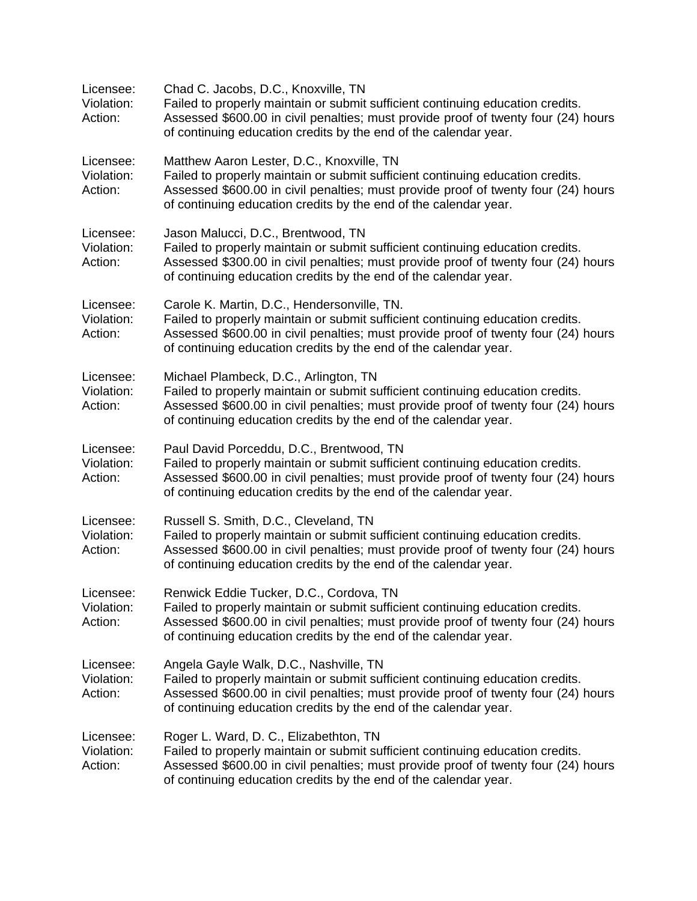| Licensee:<br>Violation:<br>Action: | Chad C. Jacobs, D.C., Knoxville, TN<br>Failed to properly maintain or submit sufficient continuing education credits.<br>Assessed \$600.00 in civil penalties; must provide proof of twenty four (24) hours<br>of continuing education credits by the end of the calendar year.         |
|------------------------------------|-----------------------------------------------------------------------------------------------------------------------------------------------------------------------------------------------------------------------------------------------------------------------------------------|
| Licensee:<br>Violation:<br>Action: | Matthew Aaron Lester, D.C., Knoxville, TN<br>Failed to properly maintain or submit sufficient continuing education credits.<br>Assessed \$600.00 in civil penalties; must provide proof of twenty four (24) hours<br>of continuing education credits by the end of the calendar year.   |
| Licensee:<br>Violation:<br>Action: | Jason Malucci, D.C., Brentwood, TN<br>Failed to properly maintain or submit sufficient continuing education credits.<br>Assessed \$300.00 in civil penalties; must provide proof of twenty four (24) hours<br>of continuing education credits by the end of the calendar year.          |
| Licensee:<br>Violation:<br>Action: | Carole K. Martin, D.C., Hendersonville, TN.<br>Failed to properly maintain or submit sufficient continuing education credits.<br>Assessed \$600.00 in civil penalties; must provide proof of twenty four (24) hours<br>of continuing education credits by the end of the calendar year. |
| Licensee:<br>Violation:<br>Action: | Michael Plambeck, D.C., Arlington, TN<br>Failed to properly maintain or submit sufficient continuing education credits.<br>Assessed \$600.00 in civil penalties; must provide proof of twenty four (24) hours<br>of continuing education credits by the end of the calendar year.       |
| Licensee:<br>Violation:<br>Action: | Paul David Porceddu, D.C., Brentwood, TN<br>Failed to properly maintain or submit sufficient continuing education credits.<br>Assessed \$600.00 in civil penalties; must provide proof of twenty four (24) hours<br>of continuing education credits by the end of the calendar year.    |
| Licensee:<br>Violation:<br>Action: | Russell S. Smith, D.C., Cleveland, TN<br>Failed to properly maintain or submit sufficient continuing education credits.<br>Assessed \$600.00 in civil penalties; must provide proof of twenty four (24) hours<br>of continuing education credits by the end of the calendar year.       |
| Licensee:<br>Violation:<br>Action: | Renwick Eddie Tucker, D.C., Cordova, TN<br>Failed to properly maintain or submit sufficient continuing education credits.<br>Assessed \$600.00 in civil penalties; must provide proof of twenty four (24) hours<br>of continuing education credits by the end of the calendar year.     |
| Licensee:<br>Violation:<br>Action: | Angela Gayle Walk, D.C., Nashville, TN<br>Failed to properly maintain or submit sufficient continuing education credits.<br>Assessed \$600.00 in civil penalties; must provide proof of twenty four (24) hours<br>of continuing education credits by the end of the calendar year.      |
| Licensee:<br>Violation:<br>Action: | Roger L. Ward, D. C., Elizabethton, TN<br>Failed to properly maintain or submit sufficient continuing education credits.<br>Assessed \$600.00 in civil penalties; must provide proof of twenty four (24) hours<br>of continuing education credits by the end of the calendar year.      |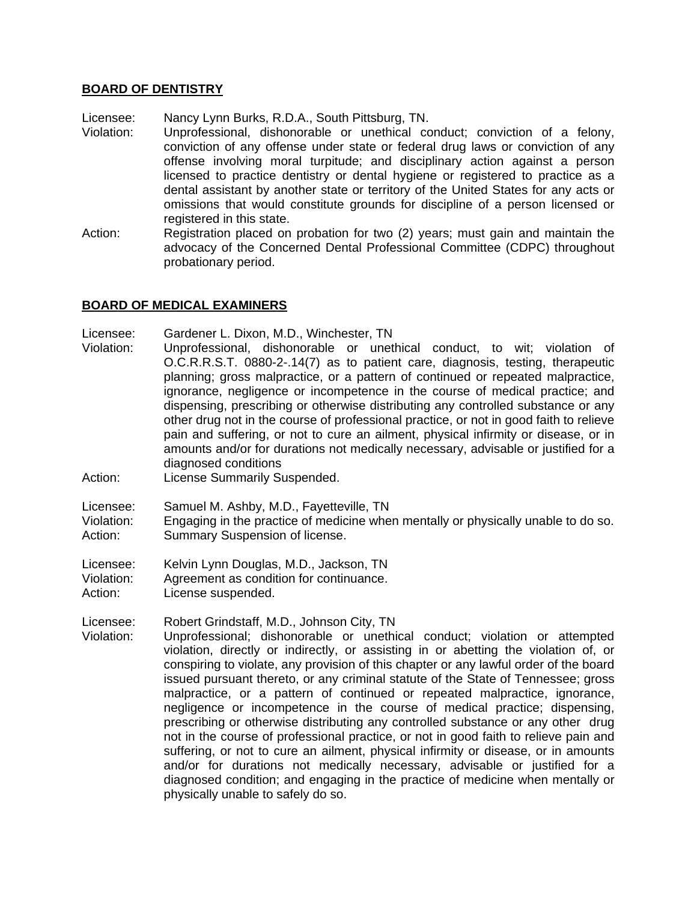#### **BOARD OF DENTISTRY**

Licensee: Nancy Lynn Burks, R.D.A., South Pittsburg, TN.

- Violation: Unprofessional, dishonorable or unethical conduct; conviction of a felony, conviction of any offense under state or federal drug laws or conviction of any offense involving moral turpitude; and disciplinary action against a person licensed to practice dentistry or dental hygiene or registered to practice as a dental assistant by another state or territory of the United States for any acts or omissions that would constitute grounds for discipline of a person licensed or registered in this state.
- Action: Registration placed on probation for two (2) years; must gain and maintain the advocacy of the Concerned Dental Professional Committee (CDPC) throughout probationary period.

#### **BOARD OF MEDICAL EXAMINERS**

Licensee: Gardener L. Dixon, M.D., Winchester, TN

- Violation: Unprofessional, dishonorable or unethical conduct, to wit; violation of O.C.R.R.S.T. 0880-2-.14(7) as to patient care, diagnosis, testing, therapeutic planning; gross malpractice, or a pattern of continued or repeated malpractice, ignorance, negligence or incompetence in the course of medical practice; and dispensing, prescribing or otherwise distributing any controlled substance or any other drug not in the course of professional practice, or not in good faith to relieve pain and suffering, or not to cure an ailment, physical infirmity or disease, or in amounts and/or for durations not medically necessary, advisable or justified for a diagnosed conditions
- Action: License Summarily Suspended.

Licensee: Samuel M. Ashby, M.D., Fayetteville, TN

Violation: Engaging in the practice of medicine when mentally or physically unable to do so. Action: Summary Suspension of license.

Licensee: Kelvin Lynn Douglas, M.D., Jackson, TN

Violation: Agreement as condition for continuance.

Action: License suspended.

Licensee: Robert Grindstaff, M.D., Johnson City, TN

Violation: Unprofessional; dishonorable or unethical conduct; violation or attempted violation, directly or indirectly, or assisting in or abetting the violation of, or conspiring to violate, any provision of this chapter or any lawful order of the board issued pursuant thereto, or any criminal statute of the State of Tennessee; gross malpractice, or a pattern of continued or repeated malpractice, ignorance, negligence or incompetence in the course of medical practice; dispensing, prescribing or otherwise distributing any controlled substance or any other drug not in the course of professional practice, or not in good faith to relieve pain and suffering, or not to cure an ailment, physical infirmity or disease, or in amounts and/or for durations not medically necessary, advisable or justified for a diagnosed condition; and engaging in the practice of medicine when mentally or physically unable to safely do so.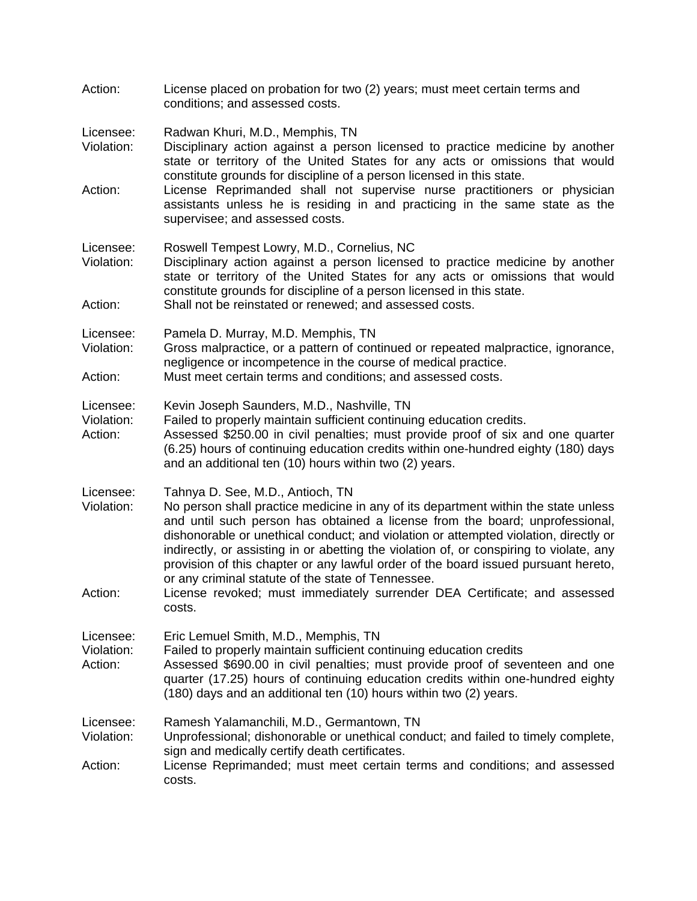|                                    | conditions; and assessed costs.                                                                                                                                                                                                                                                                                                                                                                                                                                                                                                                                                                                    |
|------------------------------------|--------------------------------------------------------------------------------------------------------------------------------------------------------------------------------------------------------------------------------------------------------------------------------------------------------------------------------------------------------------------------------------------------------------------------------------------------------------------------------------------------------------------------------------------------------------------------------------------------------------------|
| Licensee:<br>Violation:            | Radwan Khuri, M.D., Memphis, TN<br>Disciplinary action against a person licensed to practice medicine by another<br>state or territory of the United States for any acts or omissions that would<br>constitute grounds for discipline of a person licensed in this state.                                                                                                                                                                                                                                                                                                                                          |
| Action:                            | License Reprimanded shall not supervise nurse practitioners or physician<br>assistants unless he is residing in and practicing in the same state as the<br>supervisee; and assessed costs.                                                                                                                                                                                                                                                                                                                                                                                                                         |
| Licensee:<br>Violation:            | Roswell Tempest Lowry, M.D., Cornelius, NC<br>Disciplinary action against a person licensed to practice medicine by another<br>state or territory of the United States for any acts or omissions that would<br>constitute grounds for discipline of a person licensed in this state.                                                                                                                                                                                                                                                                                                                               |
| Action:                            | Shall not be reinstated or renewed; and assessed costs.                                                                                                                                                                                                                                                                                                                                                                                                                                                                                                                                                            |
| Licensee:<br>Violation:            | Pamela D. Murray, M.D. Memphis, TN<br>Gross malpractice, or a pattern of continued or repeated malpractice, ignorance,<br>negligence or incompetence in the course of medical practice.                                                                                                                                                                                                                                                                                                                                                                                                                            |
| Action:                            | Must meet certain terms and conditions; and assessed costs.                                                                                                                                                                                                                                                                                                                                                                                                                                                                                                                                                        |
| Licensee:<br>Violation:<br>Action: | Kevin Joseph Saunders, M.D., Nashville, TN<br>Failed to properly maintain sufficient continuing education credits.<br>Assessed \$250.00 in civil penalties; must provide proof of six and one quarter<br>(6.25) hours of continuing education credits within one-hundred eighty (180) days<br>and an additional ten (10) hours within two (2) years.                                                                                                                                                                                                                                                               |
| Licensee:<br>Violation:<br>Action: | Tahnya D. See, M.D., Antioch, TN<br>No person shall practice medicine in any of its department within the state unless<br>and until such person has obtained a license from the board; unprofessional,<br>dishonorable or unethical conduct; and violation or attempted violation, directly or<br>indirectly, or assisting in or abetting the violation of, or conspiring to violate, any<br>provision of this chapter or any lawful order of the board issued pursuant hereto,<br>or any criminal statute of the state of Tennessee.<br>License revoked; must immediately surrender DEA Certificate; and assessed |
|                                    | costs.                                                                                                                                                                                                                                                                                                                                                                                                                                                                                                                                                                                                             |
| Licensee:<br>Violation:<br>Action: | Eric Lemuel Smith, M.D., Memphis, TN<br>Failed to properly maintain sufficient continuing education credits<br>Assessed \$690.00 in civil penalties; must provide proof of seventeen and one<br>quarter (17.25) hours of continuing education credits within one-hundred eighty<br>(180) days and an additional ten (10) hours within two (2) years.                                                                                                                                                                                                                                                               |
| Licensee:<br>Violation:<br>Action: | Ramesh Yalamanchili, M.D., Germantown, TN<br>Unprofessional; dishonorable or unethical conduct; and failed to timely complete,<br>sign and medically certify death certificates.<br>License Reprimanded; must meet certain terms and conditions; and assessed<br>costs.                                                                                                                                                                                                                                                                                                                                            |

Action: License placed on probation for two (2) years; must meet certain terms and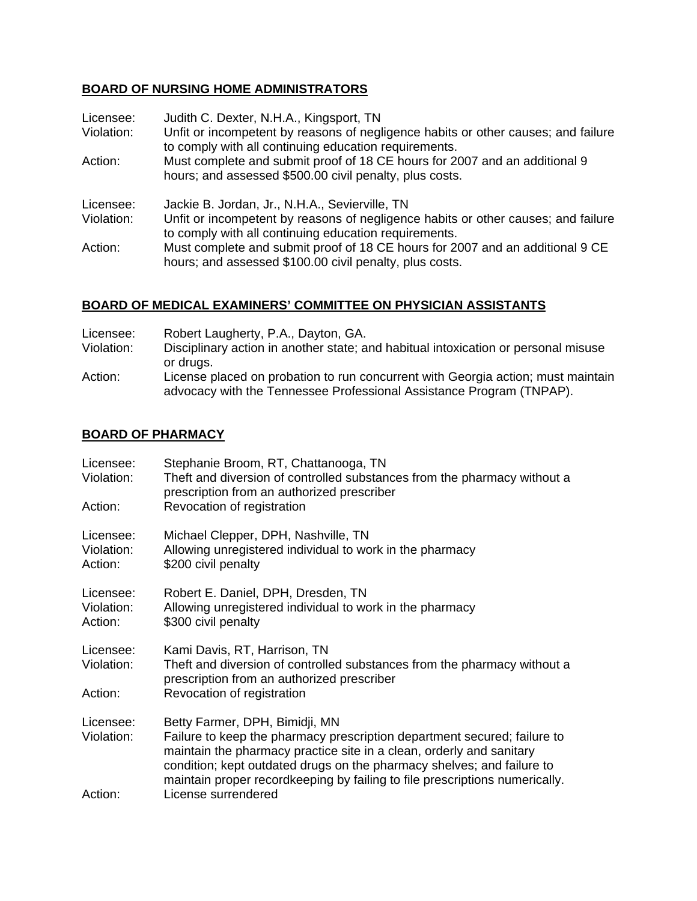## **BOARD OF NURSING HOME ADMINISTRATORS**

| Licensee:<br>Violation: | Judith C. Dexter, N.H.A., Kingsport, TN<br>Unfit or incompetent by reasons of negligence habits or other causes; and failure<br>to comply with all continuing education requirements.        |
|-------------------------|----------------------------------------------------------------------------------------------------------------------------------------------------------------------------------------------|
| Action:                 | Must complete and submit proof of 18 CE hours for 2007 and an additional 9<br>hours; and assessed \$500.00 civil penalty, plus costs.                                                        |
| Licensee:<br>Violation: | Jackie B. Jordan, Jr., N.H.A., Sevierville, TN<br>Unfit or incompetent by reasons of negligence habits or other causes; and failure<br>to comply with all continuing education requirements. |
| Action:                 | Must complete and submit proof of 18 CE hours for 2007 and an additional 9 CE<br>hours; and assessed \$100.00 civil penalty, plus costs.                                                     |

### **BOARD OF MEDICAL EXAMINERS' COMMITTEE ON PHYSICIAN ASSISTANTS**

| Licensee:  | Robert Laugherty, P.A., Dayton, GA.                                                                                                                                   |
|------------|-----------------------------------------------------------------------------------------------------------------------------------------------------------------------|
| Violation: | Disciplinary action in another state; and habitual intoxication or personal misuse                                                                                    |
| Action:    | or drugs.<br>License placed on probation to run concurrent with Georgia action; must maintain<br>advocacy with the Tennessee Professional Assistance Program (TNPAP). |

### **BOARD OF PHARMACY**

| Licensee:<br>Violation:            | Stephanie Broom, RT, Chattanooga, TN<br>Theft and diversion of controlled substances from the pharmacy without a<br>prescription from an authorized prescriber                                                                                                                                                                              |
|------------------------------------|---------------------------------------------------------------------------------------------------------------------------------------------------------------------------------------------------------------------------------------------------------------------------------------------------------------------------------------------|
| Action:                            | Revocation of registration                                                                                                                                                                                                                                                                                                                  |
| Licensee:<br>Violation:<br>Action: | Michael Clepper, DPH, Nashville, TN<br>Allowing unregistered individual to work in the pharmacy<br>\$200 civil penalty                                                                                                                                                                                                                      |
| Licensee:<br>Violation:<br>Action: | Robert E. Daniel, DPH, Dresden, TN<br>Allowing unregistered individual to work in the pharmacy<br>\$300 civil penalty                                                                                                                                                                                                                       |
| Licensee:<br>Violation:            | Kami Davis, RT, Harrison, TN<br>Theft and diversion of controlled substances from the pharmacy without a<br>prescription from an authorized prescriber                                                                                                                                                                                      |
| Action:                            | Revocation of registration                                                                                                                                                                                                                                                                                                                  |
| Licensee:<br>Violation:            | Betty Farmer, DPH, Bimidji, MN<br>Failure to keep the pharmacy prescription department secured; failure to<br>maintain the pharmacy practice site in a clean, orderly and sanitary<br>condition; kept outdated drugs on the pharmacy shelves; and failure to<br>maintain proper recordkeeping by failing to file prescriptions numerically. |
| Action:                            | License surrendered                                                                                                                                                                                                                                                                                                                         |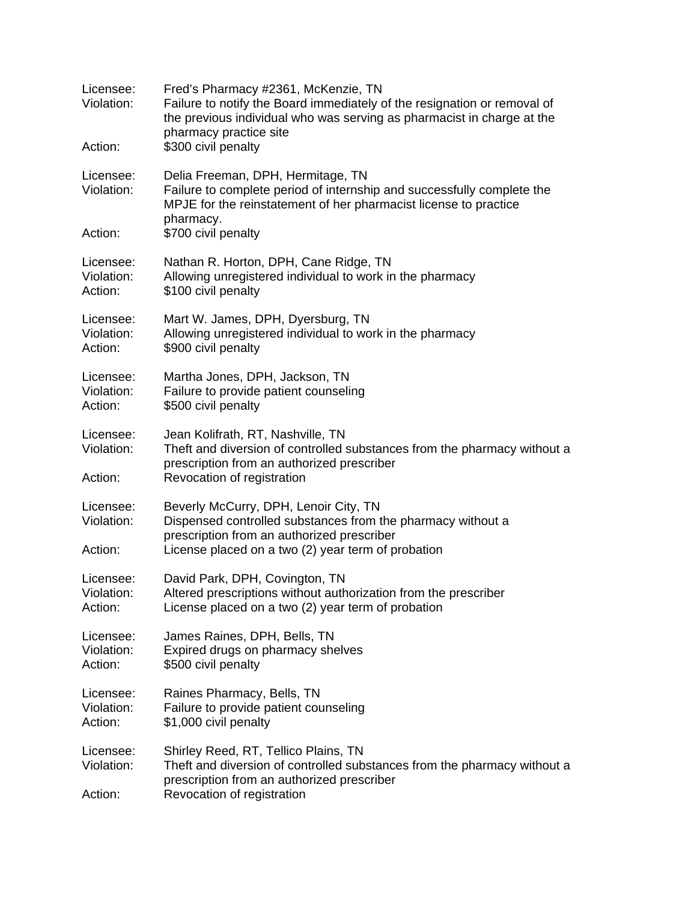| Licensee:<br>Violation:<br>Action: | Fred's Pharmacy #2361, McKenzie, TN<br>Failure to notify the Board immediately of the resignation or removal of<br>the previous individual who was serving as pharmacist in charge at the<br>pharmacy practice site<br>\$300 civil penalty |
|------------------------------------|--------------------------------------------------------------------------------------------------------------------------------------------------------------------------------------------------------------------------------------------|
| Licensee:<br>Violation:            | Delia Freeman, DPH, Hermitage, TN<br>Failure to complete period of internship and successfully complete the<br>MPJE for the reinstatement of her pharmacist license to practice<br>pharmacy.                                               |
| Action:                            | \$700 civil penalty                                                                                                                                                                                                                        |
| Licensee:<br>Violation:<br>Action: | Nathan R. Horton, DPH, Cane Ridge, TN<br>Allowing unregistered individual to work in the pharmacy<br>\$100 civil penalty                                                                                                                   |
| Licensee:<br>Violation:<br>Action: | Mart W. James, DPH, Dyersburg, TN<br>Allowing unregistered individual to work in the pharmacy<br>\$900 civil penalty                                                                                                                       |
| Licensee:<br>Violation:<br>Action: | Martha Jones, DPH, Jackson, TN<br>Failure to provide patient counseling<br>\$500 civil penalty                                                                                                                                             |
| Licensee:<br>Violation:<br>Action: | Jean Kolifrath, RT, Nashville, TN<br>Theft and diversion of controlled substances from the pharmacy without a<br>prescription from an authorized prescriber<br>Revocation of registration                                                  |
| Licensee:<br>Violation:<br>Action: | Beverly McCurry, DPH, Lenoir City, TN<br>Dispensed controlled substances from the pharmacy without a<br>prescription from an authorized prescriber<br>License placed on a two (2) year term of probation                                   |
| Licensee:<br>Violation:<br>Action: | David Park, DPH, Covington, TN<br>Altered prescriptions without authorization from the prescriber<br>License placed on a two (2) year term of probation                                                                                    |
| Licensee:<br>Violation:<br>Action: | James Raines, DPH, Bells, TN<br>Expired drugs on pharmacy shelves<br>\$500 civil penalty                                                                                                                                                   |
| Licensee:<br>Violation:<br>Action: | Raines Pharmacy, Bells, TN<br>Failure to provide patient counseling<br>\$1,000 civil penalty                                                                                                                                               |
| Licensee:<br>Violation:<br>Action: | Shirley Reed, RT, Tellico Plains, TN<br>Theft and diversion of controlled substances from the pharmacy without a<br>prescription from an authorized prescriber<br>Revocation of registration                                               |
|                                    |                                                                                                                                                                                                                                            |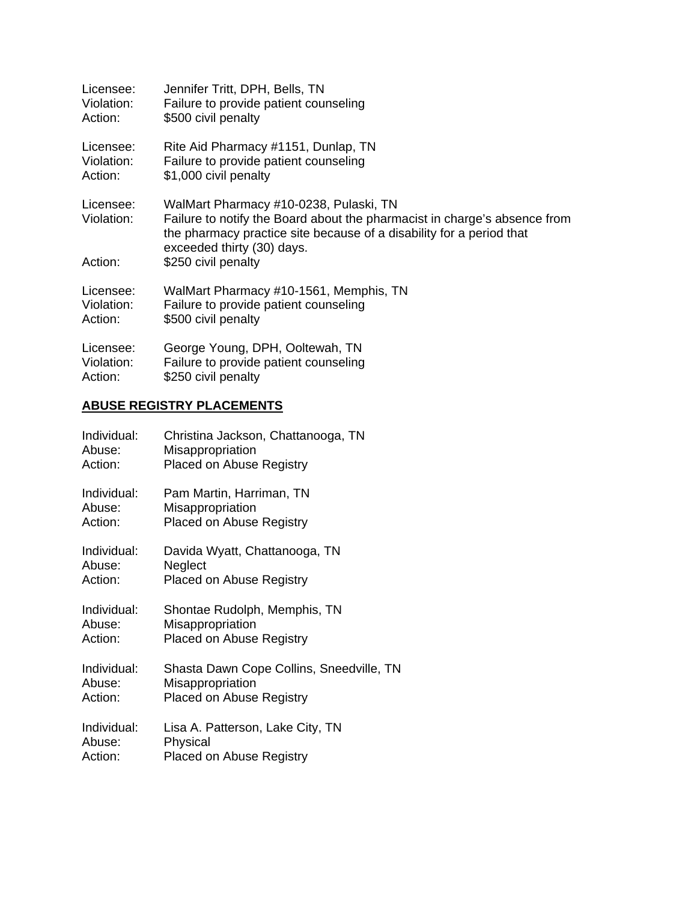| Licensee:                          | Jennifer Tritt, DPH, Bells, TN                                                                                                                                                                                                                   |
|------------------------------------|--------------------------------------------------------------------------------------------------------------------------------------------------------------------------------------------------------------------------------------------------|
| Violation:                         | Failure to provide patient counseling                                                                                                                                                                                                            |
| Action:                            | \$500 civil penalty                                                                                                                                                                                                                              |
| Licensee:                          | Rite Aid Pharmacy #1151, Dunlap, TN                                                                                                                                                                                                              |
| Violation:                         | Failure to provide patient counseling                                                                                                                                                                                                            |
| Action:                            | \$1,000 civil penalty                                                                                                                                                                                                                            |
| Licensee:<br>Violation:<br>Action: | WalMart Pharmacy #10-0238, Pulaski, TN<br>Failure to notify the Board about the pharmacist in charge's absence from<br>the pharmacy practice site because of a disability for a period that<br>exceeded thirty (30) days.<br>\$250 civil penalty |
| Licensee:                          | WalMart Pharmacy #10-1561, Memphis, TN                                                                                                                                                                                                           |
| Violation:                         | Failure to provide patient counseling                                                                                                                                                                                                            |
| Action:                            | \$500 civil penalty                                                                                                                                                                                                                              |
| Licensee:                          | George Young, DPH, Ooltewah, TN                                                                                                                                                                                                                  |
| Violation:                         | Failure to provide patient counseling                                                                                                                                                                                                            |
| Action:                            | \$250 civil penalty                                                                                                                                                                                                                              |

### **ABUSE REGISTRY PLACEMENTS**

| Individual: | Christina Jackson, Chattanooga, TN       |
|-------------|------------------------------------------|
| Abuse:      | Misappropriation                         |
| Action:     | <b>Placed on Abuse Registry</b>          |
| Individual: | Pam Martin, Harriman, TN                 |
| Abuse:      | Misappropriation                         |
| Action:     | <b>Placed on Abuse Registry</b>          |
| Individual: | Davida Wyatt, Chattanooga, TN            |
| Abuse:      | Neglect                                  |
| Action:     | <b>Placed on Abuse Registry</b>          |
| Individual: | Shontae Rudolph, Memphis, TN             |
| Abuse:      | Misappropriation                         |
| Action:     | <b>Placed on Abuse Registry</b>          |
| Individual: | Shasta Dawn Cope Collins, Sneedville, TN |
| Abuse:      | Misappropriation                         |
| Action:     | <b>Placed on Abuse Registry</b>          |
| Individual: | Lisa A. Patterson, Lake City, TN         |
| Abuse:      | Physical                                 |
| Action:     | <b>Placed on Abuse Registry</b>          |